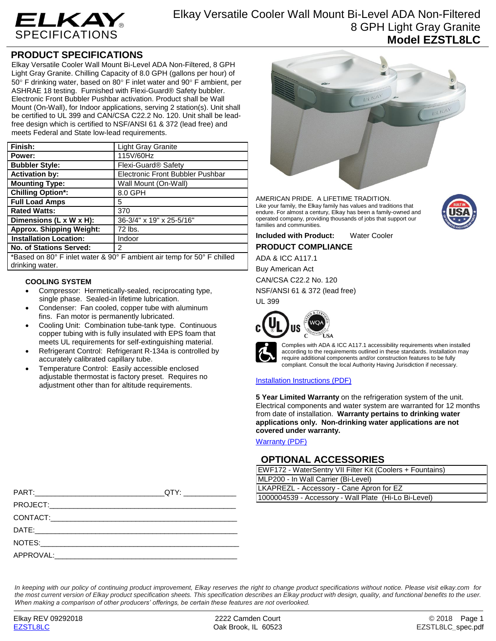

## **PRODUCT SPECIFICATIONS**

Elkay Versatile Cooler Wall Mount Bi-Level ADA Non-Filtered, 8 GPH Light Gray Granite. Chilling Capacity of 8.0 GPH (gallons per hour) of  $50^\circ$  F drinking water, based on  $80^\circ$  F inlet water and  $90^\circ$  F ambient, per ASHRAE 18 testing. Furnished with Flexi-Guard® Safety bubbler. Electronic Front Bubbler Pushbar activation. Product shall be Wall Mount (On-Wall), for Indoor applications, serving 2 station(s). Unit shall be certified to UL 399 and CAN/CSA C22.2 No. 120. Unit shall be leadfree design which is certified to NSF/ANSI 61 & 372 (lead free) and meets Federal and State low-lead requirements.

| Finish:                                                                                                                                                                                                                                                                                        | <b>Light Gray Granite</b>        |  |
|------------------------------------------------------------------------------------------------------------------------------------------------------------------------------------------------------------------------------------------------------------------------------------------------|----------------------------------|--|
| Power:                                                                                                                                                                                                                                                                                         | 115V/60Hz                        |  |
| <b>Bubbler Style:</b>                                                                                                                                                                                                                                                                          | Flexi-Guard <sup>®</sup> Safety  |  |
| <b>Activation by:</b>                                                                                                                                                                                                                                                                          | Electronic Front Bubbler Pushbar |  |
| <b>Mounting Type:</b>                                                                                                                                                                                                                                                                          | Wall Mount (On-Wall)             |  |
| <b>Chilling Option*:</b>                                                                                                                                                                                                                                                                       | 8.0 GPH                          |  |
| <b>Full Load Amps</b>                                                                                                                                                                                                                                                                          | 5                                |  |
| <b>Rated Watts:</b>                                                                                                                                                                                                                                                                            | 370                              |  |
| Dimensions (L x W x H):                                                                                                                                                                                                                                                                        | 36-3/4" x 19" x 25-5/16"         |  |
| <b>Approx. Shipping Weight:</b>                                                                                                                                                                                                                                                                | 72 lbs.                          |  |
| <b>Installation Location:</b>                                                                                                                                                                                                                                                                  | Indoor                           |  |
| No. of Stations Served:                                                                                                                                                                                                                                                                        | 2                                |  |
| $\star$ , $\sim$ , $\sim$ , $\sim$ , $\sim$ , $\sim$ , $\sim$ , $\sim$ , $\sim$ , $\sim$ , $\sim$ , $\sim$ , $\sim$ , $\sim$ , $\sim$ , $\sim$ , $\sim$ , $\sim$ , $\sim$ , $\sim$ , $\sim$ , $\sim$ , $\sim$ , $\sim$ , $\sim$ , $\sim$ , $\sim$ , $\sim$ , $\sim$ , $\sim$ , $\sim$ , $\sim$ |                                  |  |

\*Based on 80° F inlet water & 90° F ambient air temp for 50° F chilled drinking water.

## **COOLING SYSTEM**

- Compressor: Hermetically-sealed, reciprocating type, single phase. Sealed-in lifetime lubrication.
- Condenser: Fan cooled, copper tube with aluminum fins. Fan motor is permanently lubricated.
- Cooling Unit: Combination tube-tank type. Continuous copper tubing with is fully insulated with EPS foam that meets UL requirements for self-extinguishing material.
- Refrigerant Control: Refrigerant R-134a is controlled by accurately calibrated capillary tube.
- Temperature Control: Easily accessible enclosed adjustable thermostat is factory preset. Requires no adjustment other than for altitude requirements.



AMERICAN PRIDE. A LIFETIME TRADITION. Like your family, the Elkay family has values and traditions that endure. For almost a century, Elkay has been a family-owned and operated company, providing thousands of jobs that support our families and communities.



# ADA & ICC A117.1

Buy American Act

CAN/CSA C22.2 No. 120

NSF/ANSI 61 & 372 (lead free)

UL 399



Complies with ADA & ICC A117.1 accessibility requirements when installed according to the requirements outlined in these standards. Installation may require additional components and/or construction features to be fully compliant. Consult the local Authority Having Jurisdiction if necessary.

## [Installation Instructions \(PDF\)](http://www.elkay.com/wcsstore/lkdocs/care-cleaning-install-warranty-sheets/1000003116.pdf)

**5 Year Limited Warranty** on the refrigeration system of the unit. Electrical components and water system are warranted for 12 months from date of installation. **Warranty pertains to drinking water applications only. Non-drinking water applications are not covered under warranty.**

[Warranty](http://www.elkay.com/wcsstore/lkdocs/care-cleaning-install-warranty-sheets/96993c.pdf) (PDF)

## **OPTIONAL ACCESSORIES**

| EWF172 - WaterSentry VII Filter Kit (Coolers + Fountains) |  |  |
|-----------------------------------------------------------|--|--|
| MLP200 - In Wall Carrier (Bi-Level)                       |  |  |
| LKAPREZL - Accessory - Cane Apron for EZ                  |  |  |
| 1000004539 - Accessory - Wall Plate (Hi-Lo Bi-Level)      |  |  |

| PART:     | QTY:                                                                                                                  | LKAPREZL - Accessory - Cane Apron for EZ             |  |
|-----------|-----------------------------------------------------------------------------------------------------------------------|------------------------------------------------------|--|
|           |                                                                                                                       | 1000004539 - Accessory - Wall Plate (Hi-Lo Bi-Level) |  |
| PROJECT:  | <u> 1989 - Johann Stoff, deutscher Stoff, der Stoff, der Stoff, der Stoff, der Stoff, der Stoff, der Stoff, der S</u> |                                                      |  |
| CONTACT:  | <u> 1980 - Jan James James Santan (j. 1980)</u>                                                                       |                                                      |  |
| DATE:     |                                                                                                                       |                                                      |  |
| NOTES:    | <u> 1980 - Jan James James James James James James James James James James James James James James James James J</u>  |                                                      |  |
| APPROVAL: |                                                                                                                       |                                                      |  |

*In keeping with our policy of continuing product improvement, Elkay reserves the right to change product specifications without notice. Please visit elkay.com for the most current version of Elkay product specification sheets. This specification describes an Elkay product with design, quality, and functional benefits to the user. When making a comparison of other producers' offerings, be certain these features are not overlooked.*